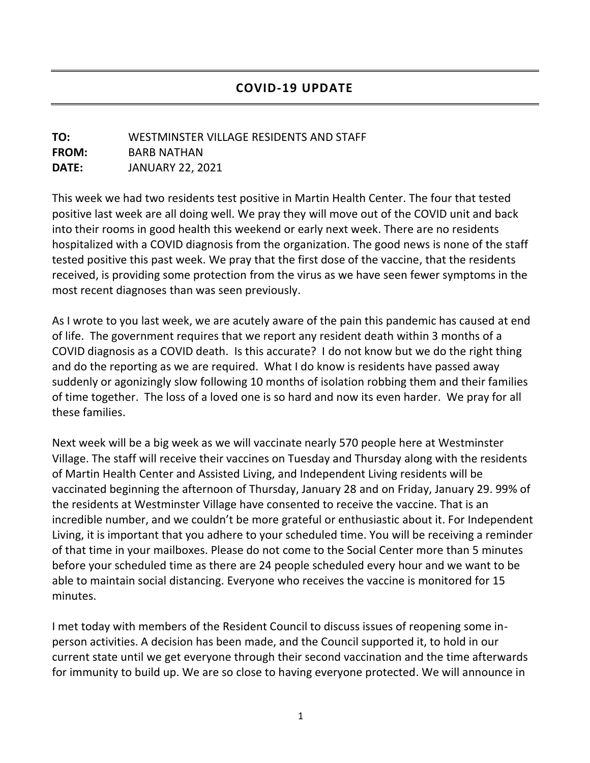## **TO:** WESTMINSTER VILLAGE RESIDENTS AND STAFF **FROM:** BARB NATHAN **DATE:** JANUARY 22, 2021

This week we had two residents test positive in Martin Health Center. The four that tested positive last week are all doing well. We pray they will move out of the COVID unit and back into their rooms in good health this weekend or early next week. There are no residents hospitalized with a COVID diagnosis from the organization. The good news is none of the staff tested positive this past week. We pray that the first dose of the vaccine, that the residents received, is providing some protection from the virus as we have seen fewer symptoms in the most recent diagnoses than was seen previously.

As I wrote to you last week, we are acutely aware of the pain this pandemic has caused at end of life. The government requires that we report any resident death within 3 months of a COVID diagnosis as a COVID death. Is this accurate? I do not know but we do the right thing and do the reporting as we are required. What I do know is residents have passed away suddenly or agonizingly slow following 10 months of isolation robbing them and their families of time together. The loss of a loved one is so hard and now its even harder. We pray for all these families.

Next week will be a big week as we will vaccinate nearly 570 people here at Westminster Village. The staff will receive their vaccines on Tuesday and Thursday along with the residents of Martin Health Center and Assisted Living, and Independent Living residents will be vaccinated beginning the afternoon of Thursday, January 28 and on Friday, January 29. 99% of the residents at Westminster Village have consented to receive the vaccine. That is an incredible number, and we couldn't be more grateful or enthusiastic about it. For Independent Living, it is important that you adhere to your scheduled time. You will be receiving a reminder of that time in your mailboxes. Please do not come to the Social Center more than 5 minutes before your scheduled time as there are 24 people scheduled every hour and we want to be able to maintain social distancing. Everyone who receives the vaccine is monitored for 15 minutes.

I met today with members of the Resident Council to discuss issues of reopening some inperson activities. A decision has been made, and the Council supported it, to hold in our current state until we get everyone through their second vaccination and the time afterwards for immunity to build up. We are so close to having everyone protected. We will announce in